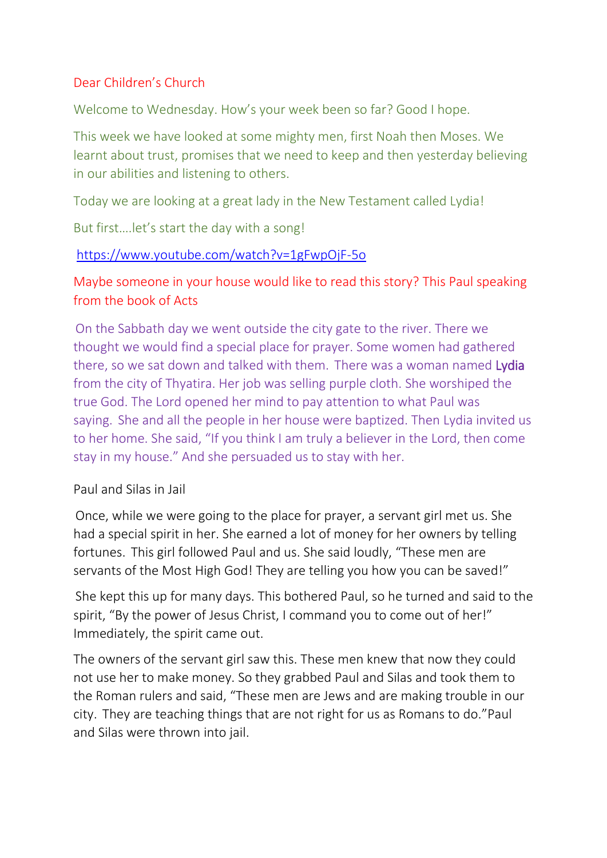# Dear Children's Church

Welcome to Wednesday. How's your week been so far? Good I hope.

This week we have looked at some mighty men, first Noah then Moses. We learnt about trust, promises that we need to keep and then yesterday believing in our abilities and listening to others.

Today we are looking at a great lady in the New Testament called Lydia!

But first….let's start the day with a song!

## <https://www.youtube.com/watch?v=1gFwpOjF-5o>

Maybe someone in your house would like to read this story? This Paul speaking from the book of Acts

 On the Sabbath day we went outside the city gate to the river. There we thought we would find a special place for prayer. Some women had gathered there, so we sat down and talked with them. There was a woman named Lydia from the city of Thyatira. Her job was selling purple cloth. She worshiped the true God. The Lord opened her mind to pay attention to what Paul was saying. She and all the people in her house were baptized. Then Lydia invited us to her home. She said, "If you think I am truly a believer in the Lord, then come stay in my house." And she persuaded us to stay with her.

### Paul and Silas in Jail

 Once, while we were going to the place for prayer, a servant girl met us. She had a special spirit in her. She earned a lot of money for her owners by telling fortunes. This girl followed Paul and us. She said loudly, "These men are servants of the Most High God! They are telling you how you can be saved!"

 She kept this up for many days. This bothered Paul, so he turned and said to the spirit, "By the power of Jesus Christ, I command you to come out of her!" Immediately, the spirit came out.

The owners of the servant girl saw this. These men knew that now they could not use her to make money. So they grabbed Paul and Silas and took them to the Roman rulers and said, "These men are Jews and are making trouble in our city. They are teaching things that are not right for us as Romans to do."Paul and Silas were thrown into jail.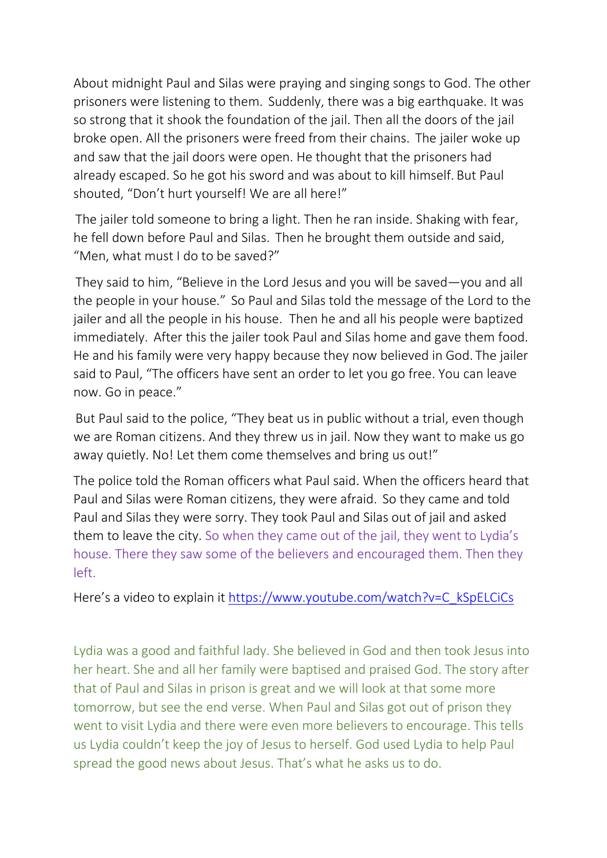About midnight Paul and Silas were praying and singing songs to God. The other prisoners were listening to them. Suddenly, there was a big earthquake. It was so strong that it shook the foundation of the jail. Then all the doors of the jail broke open. All the prisoners were freed from their chains. The jailer woke up and saw that the jail doors were open. He thought that the prisoners had already escaped. So he got his sword and was about to kill himself. But Paul shouted, "Don't hurt yourself! We are all here!"

 The jailer told someone to bring a light. Then he ran inside. Shaking with fear, he fell down before Paul and Silas. Then he brought them outside and said, "Men, what must I do to be saved?"

 They said to him, "Believe in the Lord Jesus and you will be saved—you and all the people in your house." So Paul and Silas told the message of the Lord to the jailer and all the people in his house. Then he and all his people were baptized immediately. After this the jailer took Paul and Silas home and gave them food. He and his family were very happy because they now believed in God. The jailer said to Paul, "The officers have sent an order to let you go free. You can leave now. Go in peace."

 But Paul said to the police, "They beat us in public without a trial, even though we are Roman citizens. And they threw us in jail. Now they want to make us go away quietly. No! Let them come themselves and bring us out!"

The police told the Roman officers what Paul said. When the officers heard that Paul and Silas were Roman citizens, they were afraid. So they came and told Paul and Silas they were sorry. They took Paul and Silas out of jail and asked them to leave the city. So when they came out of the jail, they went to Lydia's house. There they saw some of the believers and encouraged them. Then they left.

Here's a video to explain it [https://www.youtube.com/watch?v=C\\_kSpELCiCs](https://www.youtube.com/watch?v=C_kSpELCiCs)

Lydia was a good and faithful lady. She believed in God and then took Jesus into her heart. She and all her family were baptised and praised God. The story after that of Paul and Silas in prison is great and we will look at that some more tomorrow, but see the end verse. When Paul and Silas got out of prison they went to visit Lydia and there were even more believers to encourage. This tells us Lydia couldn't keep the joy of Jesus to herself. God used Lydia to help Paul spread the good news about Jesus. That's what he asks us to do.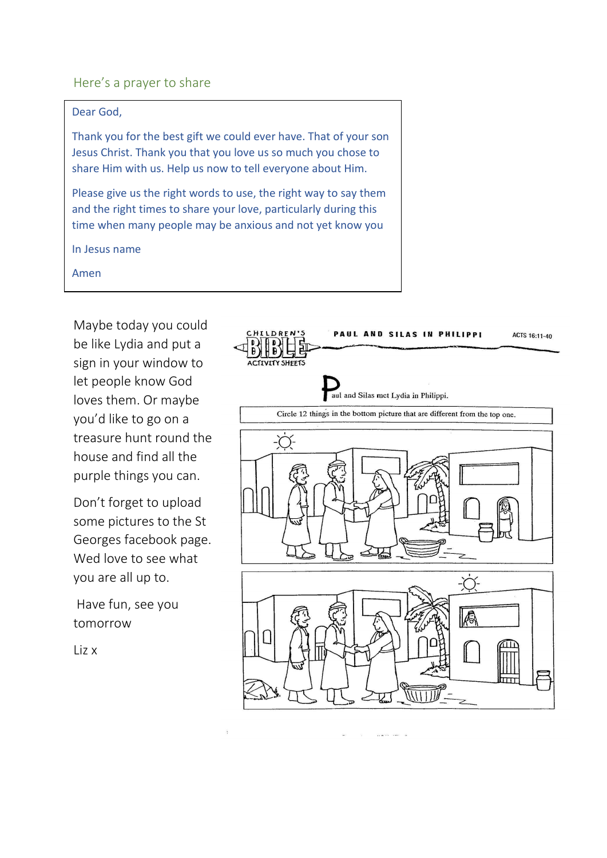#### Here's a prayer to share

#### Dear God,

Thank you for the best gift we could ever have. That of your son Jesus Christ. Thank you that you love us so much you chose to share Him with us. Help us now to tell everyone about Him.

Please give us the right words to use, the right way to say them and the right times to share your love, particularly during this time when many people may be anxious and not yet know you

In Jesus name

Amen

Maybe today you could be like Lydia and put a sign in your window to let people know God loves them. Or maybe you'd like to go on a treasure hunt round the house and find all the purple things you can.

Don't forget to upload some pictures to the St Georges facebook page. Wed love to see what you are all up to.

Have fun, see you tomorrow

Liz x